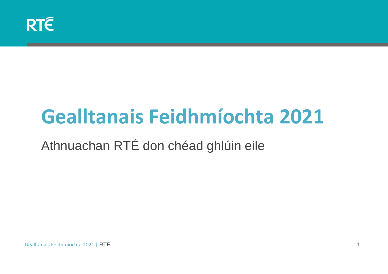# **Gealltanais Feidhmíochta 2021**

Athnuachan RTÉ don chéad ghlúin eile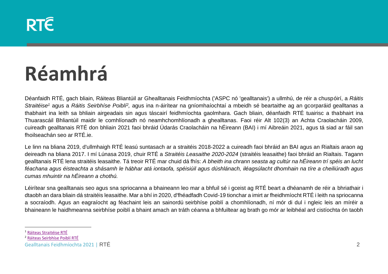#### **RTE**

# **Réamhrá**

Déanfaidh RTÉ, gach bliain, Ráiteas Bliantúil ar Ghealltanais Feidhmíochta ('ASPC nó 'gealltanais') a ullmhú, de réir a chuspóirí, a *Ráitis*  Straitéise<sup>1</sup> agus a Ráitis Seirbhíse Poiblí<sup>2</sup>, agus ina n-áirítear na gníomhaíochtaí a mbeidh sé beartaithe ag an gcorparáid gealltanas a thabhairt ina leith sa bhliain airgeadais sin agus táscairí feidhmíochta gaolmhara. Gach bliain, déanfaidh RTÉ tuairisc a thabhairt ina Thuarascáil Bhliantúil maidir le comhlíonadh nó neamhchomhlíonadh a ghealltanas*.* Faoi réir Alt 102(3) an Achta Craolacháin 2009, cuireadh gealltanais RTÉ don bhliain 2021 faoi bhráid Údarás Craolacháin na hÉireann (BAI) i mí Aibreáin 2021, agus tá siad ar fáil san fhoilseachán seo ar RTÉ.ie.

Le linn na bliana 2019, d'ullmhaigh RTÉ leasú suntasach ar a straitéis 2018-2022 a cuireadh faoi bhráid an BAI agus an Rialtais araon ag deireadh na bliana 2017. I mí Lúnasa 2019, chuir RTÉ a *Straitéis Leasaithe 2020-2024* (straitéis leasaithe) faoi bhráid an Rialtais. Tagann gealltanais RTÉ lena straitéis leasaithe. Tá treoir RTÉ mar chuid dá fhís: *A bheith ina chrann seasta ag cultúr na hÉireann trí spéis an lucht féachana agus éisteachta a shásamh le hábhar atá iontaofa, spéisiúil agus dúshlánach, iléagsúlacht dhomhain na tíre a cheiliúradh agus cumas mhuintir na hÉireann a chothú.*

Léirítear sna gealltanais seo agus sna spriocanna a bhaineann leo mar a bhfuil sé i gceist ag RTÉ beart a dhéanamh de réir a bhriathair i dtaobh an dara bliain dá straitéis leasaithe. Mar a bhí in 2020, d'fhéadfadh Covid-19 tionchar a imirt ar fheidhmíocht RTÉ i leith na spriocanna a socraíodh. Agus an eagraíocht ag féachaint leis an sainordú seirbhíse poiblí a chomhlíonadh, ní mór di dul i ngleic leis an míréir a bhaineann le haidhmeanna seirbhíse poiblí a bhaint amach an tráth céanna a bhfuiltear ag brath go mór ar leibhéal ard cistíochta ón taobh

<sup>1</sup> [Ráiteas Straitéise RTÉ](https://about.rte.ie/wp-content/uploads/2019/07/rte-public-service-statement-english.pdf)

<sup>2</sup> [Ráiteas Seirbhíse](https://about.rte.ie/wp-content/uploads/2019/07/rte-public-service-statement-english.pdf) Poiblí RTÉ

Gealltanais Feidhmíochta 2021 | RTÉ 2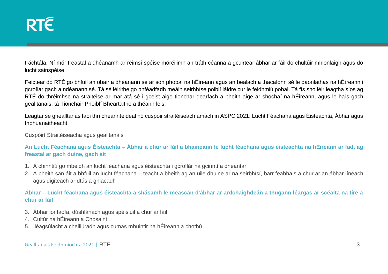tráchtála. Ní mór freastal a dhéanamh ar réimsí spéise móréilimh an tráth céanna a gcuirtear ábhar ar fáil do chultúir mhionlaigh agus do lucht sainspéise.

Feictear do RTÉ go bhfuil an obair a dhéanann sé ar son phobal na hÉireann agus an bealach a thacaíonn sé le daonlathas na hÉireann i gcroílár gach a ndéanann sé. Tá sé léirithe go bhféadfadh meáin seirbhíse poiblí láidre cur le feidhmiú pobal. Tá fís shoiléir leagtha síos ag RTÉ do thréimhse na straitéise ar mar atá sé i gceist aige tionchar dearfach a bheith aige ar shochaí na hÉireann, agus le hais gach gealltanais, tá Tionchair Phoiblí Bheartaithe a théann leis.

Leagtar sé ghealltanas faoi thrí cheannteideal nó cuspóir straitéiseach amach in ASPC 2021: Lucht Féachana agus Éisteachta, Ábhar agus Inbhuanaitheacht.

Cuspóirí Straitéiseacha agus gealltanais

**An Lucht Féachana agus Éisteachta – Ábhar a chur ar fáil a bhaineann le lucht féachana agus éisteachta na hÉireann ar fad, ag freastal ar gach duine, gach áit** 

- 1. A chinntiú go mbeidh an lucht féachana agus éisteachta i gcroílár na gcinntí a dhéantar
- 2. A bheith san áit a bhfuil an lucht féachana teacht a bheith ag an uile dhuine ar na seirbhísí, barr feabhais a chur ar an ábhar líneach agus digiteach ar dtús a ghlacadh

**Ábhar – Lucht féachana agus éisteachta a shásamh le meascán d'ábhar ar ardchaighdeán a thugann léargas ar scéalta na tíre a chur ar fáil** 

- 3. Ábhar iontaofa, dúshlánach agus spéisiúil a chur ar fáil
- 4. Cultúr na hÉireann a Chosaint
- 5. Iléagsúlacht a cheiliúradh agus cumas mhuintir na hÉireann a chothú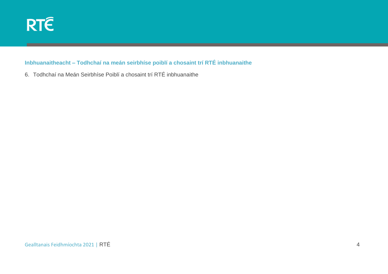

#### **Inbhuanaitheacht – Todhchaí na meán seirbhíse poiblí a chosaint trí RTÉ inbhuanaithe**

6. Todhchaí na Meán Seirbhíse Poiblí a chosaint trí RTÉ inbhuanaithe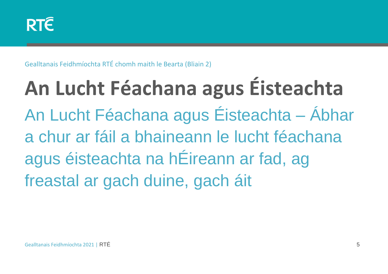Gealltanais Feidhmíochta RTÉ chomh maith le Bearta (Bliain 2)

**An Lucht Féachana agus Éisteachta** An Lucht Féachana agus Éisteachta – Ábhar a chur ar fáil a bhaineann le lucht féachana agus éisteachta na hÉireann ar fad, ag freastal ar gach duine, gach áit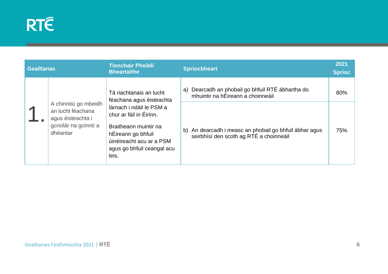| <b>Gealltanas</b> |                                                                                                     | <b>Tionchair Phoiblí</b><br><b>Bheartaithe</b>                                                                                                                        | <b>Spriocbheart</b>                                                                                  | 2021<br><b>Sprioc</b> |
|-------------------|-----------------------------------------------------------------------------------------------------|-----------------------------------------------------------------------------------------------------------------------------------------------------------------------|------------------------------------------------------------------------------------------------------|-----------------------|
|                   |                                                                                                     | Tá riachtanais an lucht<br>féachana agus éisteachta                                                                                                                   | Dearcadh an phobail go bhfuil RTÉ ábhartha do<br>a)<br>mhuintir na hÉireann a choinneáil             | 80%                   |
|                   | A chinntiú go mbeidh<br>an lucht féachana<br>agus éisteachta i<br>gcroílár na gcinntí a<br>dhéantar | lárnach i ndáil le PSM a<br>chur ar fáil in Éirinn.<br>Braitheann muintir na<br>hÉireann go bhfuil<br>úinéireacht acu ar a PSM<br>agus go bhfuil ceangal acu<br>leis. | An dearcadh i measc an phobail go bhfuil ábhar agus<br>b)<br>seirbhísí den scoth ag RTÉ a choinneáil | 75%                   |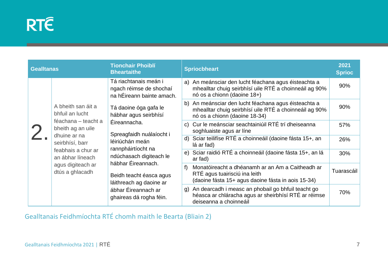| <b>Gealltanas</b> |                                                                                                                                                                                                    | <b>Tionchair Phoiblí</b><br><b>Bheartaithe</b>                                                                                                                                                 | <b>Spriocbheart</b>                                                                                                                             | 2021<br><b>Sprioc</b> |
|-------------------|----------------------------------------------------------------------------------------------------------------------------------------------------------------------------------------------------|------------------------------------------------------------------------------------------------------------------------------------------------------------------------------------------------|-------------------------------------------------------------------------------------------------------------------------------------------------|-----------------------|
|                   | A bheith san áit a<br>bhfuil an lucht<br>féachana - teacht a<br>bheith ag an uile<br>dhuine ar na<br>seirbhísí, barr                                                                               | Tá riachtanais meán i<br>ngach réimse de shochaí<br>na hÉireann bainte amach.<br>Tá daoine óga gafa le<br>hábhar agus seirbhísí<br>Éireannacha.<br>Spreagfaidh nuálaíocht i<br>léiriúchán meán | a) An meánsciar den lucht féachana agus éisteachta a<br>mhealltar chuig seirbhísí uile RTÉ a choinneáil ag 90%<br>nó os a chionn (daoine 18+)   | 90%                   |
|                   |                                                                                                                                                                                                    |                                                                                                                                                                                                | b) An meánsciar den lucht féachana agus éisteachta a<br>mhealltar chuig seirbhísí uile RTÉ a choinneáil ag 90%<br>nó os a chionn (daoine 18-34) | 90%                   |
|                   |                                                                                                                                                                                                    |                                                                                                                                                                                                | c) Cur le meánsciar seachtainiúil RTÉ trí dheiseanna<br>soghluaiste agus ar líne                                                                | 57%                   |
|                   |                                                                                                                                                                                                    |                                                                                                                                                                                                | d) Sciar teilifíse RTÉ a choinneáil (daoine fásta 15+, an<br>lá ar fad)                                                                         | 26%                   |
|                   | feabhais a chur ar<br>an ábhar líneach                                                                                                                                                             | rannpháirtíocht na<br>ndúchasach digiteach le                                                                                                                                                  | e) Sciar raidió RTÉ a choinneáil (daoine fásta 15+, an lá<br>ar fad)                                                                            | 30%                   |
|                   | hábhar Éireannach.<br>agus digiteach ar<br>f)<br>dtús a ghlacadh<br>Beidh teacht éasca agus<br>láithreach ag daoine ar<br>ábhar Éireannach ar<br>ghaireas dá rogha féin.<br>deiseanna a choinneáil | Monatóireacht a dhéanamh ar an Am a Caitheadh ar<br>RTÉ agus tuairisciú ina leith<br>(daoine fásta 15+ agus daoine fásta in aois 15-34)                                                        | Tuarascáil                                                                                                                                      |                       |
|                   |                                                                                                                                                                                                    |                                                                                                                                                                                                | g) An dearcadh i measc an phobail go bhfuil teacht go<br>héasca ar chláracha agus ar sheirbhísí RTÉ ar réimse                                   | 70%                   |

Gealltanais Feidhmíochta RTÉ chomh maith le Bearta (Bliain 2)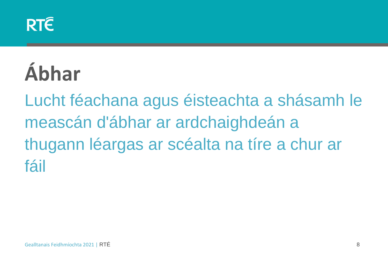

# **Ábhar**

Lucht féachana agus éisteachta a shásamh le meascán d'ábhar ar ardchaighdeán a thugann léargas ar scéalta na tíre a chur ar fáil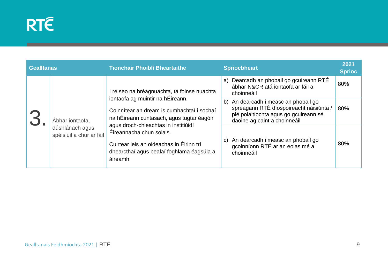| <b>Gealltanas</b> |                                             | <b>Tionchair Phoiblí Bheartaithe</b>                                                                                                                                  |    | <b>Spriocbheart</b>                                                                                                                                   |     |
|-------------------|---------------------------------------------|-----------------------------------------------------------------------------------------------------------------------------------------------------------------------|----|-------------------------------------------------------------------------------------------------------------------------------------------------------|-----|
|                   | Ábhar iontaofa,                             | I ré seo na bréagnuachta, tá foinse nuachta                                                                                                                           |    | Dearcadh an phobail go gcuireann RTÉ<br>a)<br>ábhar N&CR atá iontaofa ar fáil a<br>choinneáil                                                         | 80% |
|                   |                                             | iontaofa ag muintir na hÉireann.<br>Coinnítear an dream is cumhachtaí i sochaí<br>na hÉireann cuntasach, agus tugtar éagóir                                           | b) | An dearcadh i measc an phobail go<br>spreagann RTÉ díospóireacht náisiúnta /<br>plé polaitíochta agus go gcuireann sé<br>daoine ag caint a choinneáil | 80% |
|                   | dúshlánach agus<br>spéisiúil a chur ar fáil | agus droch-chleachtas in institiúidí<br>Éireannacha chun solais.<br>Cuirtear leis an oideachas in Éirinn trí<br>dhearcthaí agus bealaí foghlama éagsúla a<br>áireamh. | C) | An dearcadh i measc an phobail go<br>gcoinníonn RTÉ ar an eolas mé a<br>choinneáil                                                                    | 80% |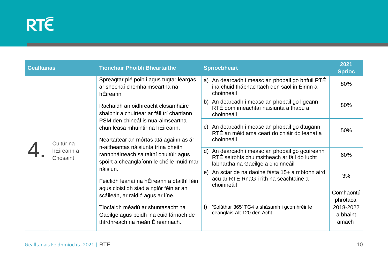#### **RTÉ**

| <b>Gealltanas</b> |                                     | <b>Tionchair Phoiblí Bheartaithe</b>                                                                                                                                                                                                                                                                                                                                                                                                                                                                                                                                                                                                                                                  | <b>Spriocbheart</b>                                                                                                    | 2021<br><b>Sprioc</b>  |
|-------------------|-------------------------------------|---------------------------------------------------------------------------------------------------------------------------------------------------------------------------------------------------------------------------------------------------------------------------------------------------------------------------------------------------------------------------------------------------------------------------------------------------------------------------------------------------------------------------------------------------------------------------------------------------------------------------------------------------------------------------------------|------------------------------------------------------------------------------------------------------------------------|------------------------|
|                   | Cultúr na<br>hÉireann a<br>Chosaint | Spreagtar plé poiblí agus tugtar léargas<br>ar shochaí chomhaimseartha na<br>hÉireann.<br>Rachaidh an oidhreacht closamhairc<br>shaibhir a chuirtear ar fáil trí chartlann<br>PSM den chineál is nua-aimseartha<br>chun leasa mhuintir na hÉireann.<br>Neartaítear an mórtas atá againn as ár<br>n-aitheantas náisiúnta trína bheith<br>rannpháirteach sa taithí chultúir agus<br>spóirt a cheanglaíonn le chéile muid mar<br>náisiún.<br>Feicfidh leanaí na hÉireann a dtaithí féin<br>agus cloisfidh siad a nglór féin ar an<br>scáileán, ar raidió agus ar líne.<br>Tiocfaidh méadú ar shuntasacht na<br>Gaeilge agus beidh ina cuid lárnach de<br>thírdhreach na meán Éireannach. | a) An dearcadh i measc an phobail go bhfuil RTÉ<br>ina chuid thábhachtach den saol in Éirinn a<br>choinneáil           | 80%                    |
|                   |                                     |                                                                                                                                                                                                                                                                                                                                                                                                                                                                                                                                                                                                                                                                                       | b) An dearcadh i measc an phobail go ligeann<br>RTÉ dom imeachtaí náisiúnta a thapú a<br>choinneáil                    | 80%                    |
|                   |                                     |                                                                                                                                                                                                                                                                                                                                                                                                                                                                                                                                                                                                                                                                                       | An dearcadh i measc an phobail go dtugann<br>$\mathsf{C}$<br>RTÉ an méid ama ceart do chláir do leanaí a<br>choinneáil | 50%                    |
|                   |                                     |                                                                                                                                                                                                                                                                                                                                                                                                                                                                                                                                                                                                                                                                                       | An dearcadh i measc an phobail go gcuireann<br>d)                                                                      |                        |
|                   |                                     |                                                                                                                                                                                                                                                                                                                                                                                                                                                                                                                                                                                                                                                                                       | RTÉ seirbhís chuimsitheach ar fáil do lucht<br>labhartha na Gaeilge a choinneáil                                       | 60%                    |
|                   |                                     |                                                                                                                                                                                                                                                                                                                                                                                                                                                                                                                                                                                                                                                                                       | An sciar de na daoine fásta 15+ a mbíonn aird<br>e)<br>acu ar RTÉ RnaG i rith na seachtaine a<br>choinneáil            | 3%                     |
|                   |                                     |                                                                                                                                                                                                                                                                                                                                                                                                                                                                                                                                                                                                                                                                                       |                                                                                                                        | Comhaontú              |
|                   |                                     |                                                                                                                                                                                                                                                                                                                                                                                                                                                                                                                                                                                                                                                                                       | 'Soláthar 365' TG4 a shásamh i gcomhréir le                                                                            | phrótacal<br>2018-2022 |
|                   |                                     |                                                                                                                                                                                                                                                                                                                                                                                                                                                                                                                                                                                                                                                                                       | ceanglais Alt 120 den Acht                                                                                             | a bhaint<br>amach      |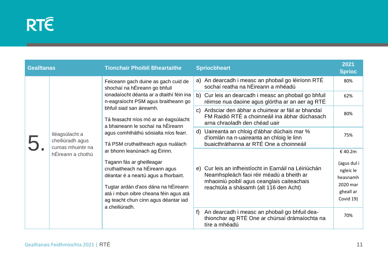| <b>Gealltanas</b> |                                                                              | <b>Tionchair Phoiblí Bheartaithe</b>                                                                                                                                                                                                                                                                                                           | <b>Spriocbheart</b>                                                                                                                                                                          | 2021<br><b>Sprioc</b>                                                                |
|-------------------|------------------------------------------------------------------------------|------------------------------------------------------------------------------------------------------------------------------------------------------------------------------------------------------------------------------------------------------------------------------------------------------------------------------------------------|----------------------------------------------------------------------------------------------------------------------------------------------------------------------------------------------|--------------------------------------------------------------------------------------|
|                   | lléagsúlacht a<br>cheiliúradh agus<br>cumas mhuintir na<br>hÉireann a chothú | Feiceann gach duine as gach cuid de<br>shochaí na hÉireann go bhfuil<br>ionadaíocht déanta ar a dtaithí féin ina<br>n-eagraíocht PSM agus braitheann go<br>bhfuil siad san áireamh.<br>Tá feasacht níos mó ar an éagsúlacht<br>a bhaineann le sochaí na hÉireann<br>agus comhtháthú sóisialta níos fearr.<br>Tá PSM cruthaitheach agus nuálach | a) An dearcadh i measc an phobail go léiríonn RTÉ<br>sochaí reatha na hÉireann a mhéadú                                                                                                      | 80%                                                                                  |
|                   |                                                                              |                                                                                                                                                                                                                                                                                                                                                | Cur leis an dearcadh i measc an phobail go bhfuil<br>b)<br>réimse nua daoine agus glórtha ar an aer ag RTÉ                                                                                   | 62%                                                                                  |
|                   |                                                                              |                                                                                                                                                                                                                                                                                                                                                | Ardsciar den ábhar a chuirtear ar fáil ar bhandaí<br>$\mathbf{C}$<br>FM Raidió RTÉ a choinneáil ina ábhar dúchasach<br>arna chraoladh den chéad uair                                         | 80%                                                                                  |
|                   |                                                                              |                                                                                                                                                                                                                                                                                                                                                | Uaireanta an chloig d'ábhar dúchais mar %<br>$\mathsf{d}$<br>d'iomlán na n-uaireanta an chloig le linn<br>buaicthráthanna ar RTÉ One a choinneáil                                            | 75%                                                                                  |
|                   |                                                                              | ar bhonn leanúnach ag Éirinn.<br>Tagann fás ar gheilleagar<br>cruthaitheach na hÉireann agus<br>déantar é a neartú agus a fhorbairt.<br>Tugtar ardán d'aos dána na hÉireann<br>atá i mbun oibre cheana féin agus atá<br>ag teacht chun cinn agus déantar iad<br>a cheiliúradh.                                                                 | Cur leis an infheistíocht in Earnáil na Léiriúchán<br>e)<br>Neamhspleách faoi réir méadú a bheith ar<br>mhaoiniú poiblí agus ceanglais caiteachais<br>reachtúla a shásamh (alt 116 den Acht) | €40.2m<br>(agus dul i<br>ngleic le<br>heasnamh<br>2020 mar<br>gheall ar<br>Covid 19) |
|                   |                                                                              |                                                                                                                                                                                                                                                                                                                                                | An dearcadh i measc an phobail go bhfuil dea-<br>f)<br>thionchar ag RTÉ One ar chúrsaí drámaíochta na<br>tíre a mhéadú                                                                       | 70%                                                                                  |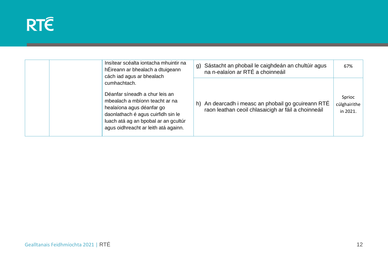#### **RTÉ**

| Insítear scéalta iontacha mhuintir na<br>hÉireann ar bhealach a dtuigeann<br>cách iad agus ar bhealach                                                                                                                              | g) | Sástacht an phobail le caighdeán an chultúir agus<br>na n-ealaíon ar RTÉ a choinneáil                  | 67%                                |
|-------------------------------------------------------------------------------------------------------------------------------------------------------------------------------------------------------------------------------------|----|--------------------------------------------------------------------------------------------------------|------------------------------------|
| cumhachtach.<br>Déanfar síneadh a chur leis an<br>mbealach a mbíonn teacht ar na<br>healaíona agus déanfar go<br>daonlathach é agus cuirfidh sin le<br>luach atá ag an bpobal ar an gcultúr<br>agus oidhreacht ar leith atá againn. | h) | An dearcadh i measc an phobail go gcuireann RTÉ<br>raon leathan ceoil chlasaicigh ar fáil a choinneáil | Sprioc<br>cúlghairithe<br>in 2021. |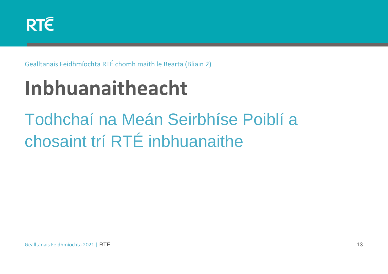

Gealltanais Feidhmíochta RTÉ chomh maith le Bearta (Bliain 2)

# **Inbhuanaitheacht**

### Todhchaí na Meán Seirbhíse Poiblí a chosaint trí RTÉ inbhuanaithe